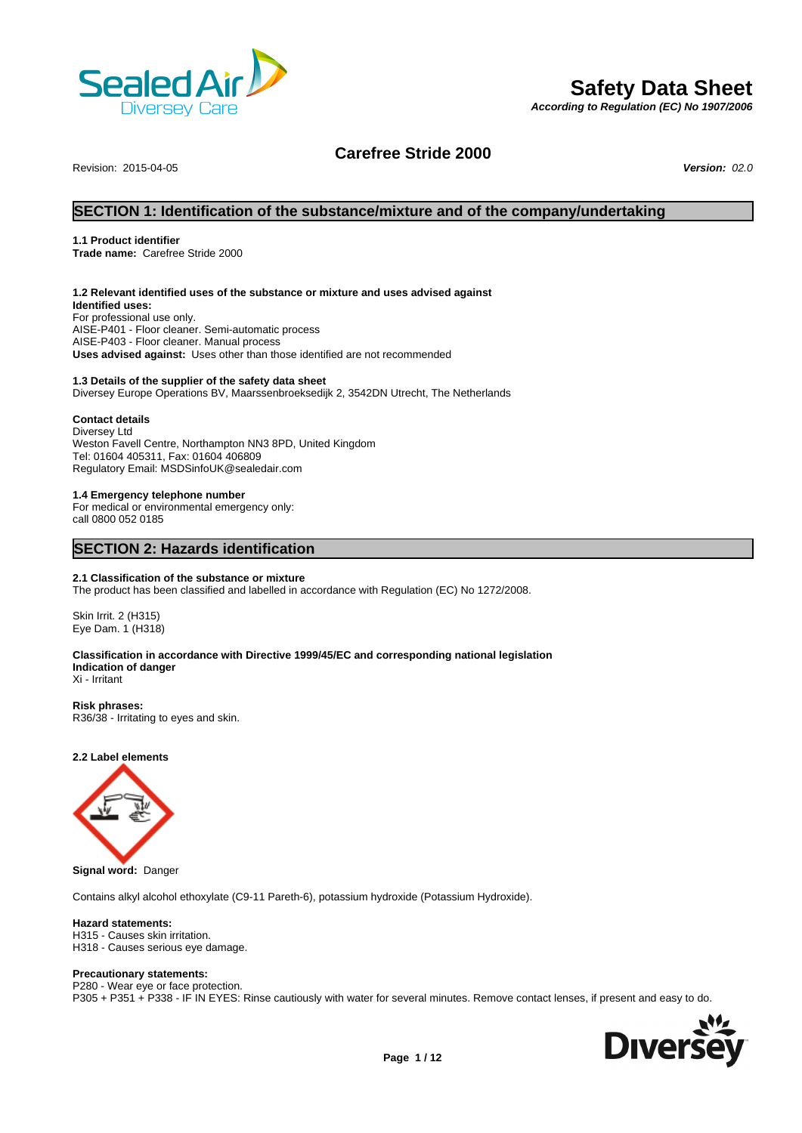

# **Safety Data Sheet**

*According to Regulation (EC) No 1907/2006*

## **Carefree Stride 2000**

Revision: 2015-04-05 *Version: 02.0*

## **SECTION 1: Identification of the substance/mixture and of the company/undertaking**

## **1.1 Product identifier**

**Trade name:** Carefree Stride 2000

## **1.2 Relevant identified uses of the substance or mixture and uses advised against**

**Identified uses:** For professional use only. AISE-P401 - Floor cleaner. Semi-automatic process AISE-P403 - Floor cleaner. Manual process **Uses advised against:** Uses other than those identified are not recommended

## **1.3 Details of the supplier of the safety data sheet**

Diversey Europe Operations BV, Maarssenbroeksedijk 2, 3542DN Utrecht, The Netherlands

## **Contact details**

Diversey Ltd Weston Favell Centre, Northampton NN3 8PD, United Kingdom Tel: 01604 405311, Fax: 01604 406809 Regulatory Email: MSDSinfoUK@sealedair.com

### **1.4 Emergency telephone number**

For medical or environmental emergency only: call 0800 052 0185

## **SECTION 2: Hazards identification**

## **2.1 Classification of the substance or mixture**

The product has been classified and labelled in accordance with Regulation (EC) No 1272/2008.

Skin Irrit. 2 (H315) Eye Dam. 1 (H318)

## **Classification in accordance with Directive 1999/45/EC and corresponding national legislation Indication of danger**

Xi - Irritant

## **Risk phrases:**

R36/38 - Irritating to eyes and skin.

## **2.2 Label elements**



**Signal word:** Danger

Contains alkyl alcohol ethoxylate (C9-11 Pareth-6), potassium hydroxide (Potassium Hydroxide).

## **Hazard statements:**

H315 - Causes skin irritation. H318 - Causes serious eye damage.

## **Precautionary statements:**

P280 - Wear eye or face protection. P305 + P351 + P338 - IF IN EYES: Rinse cautiously with water for several minutes. Remove contact lenses, if present and easy to do.

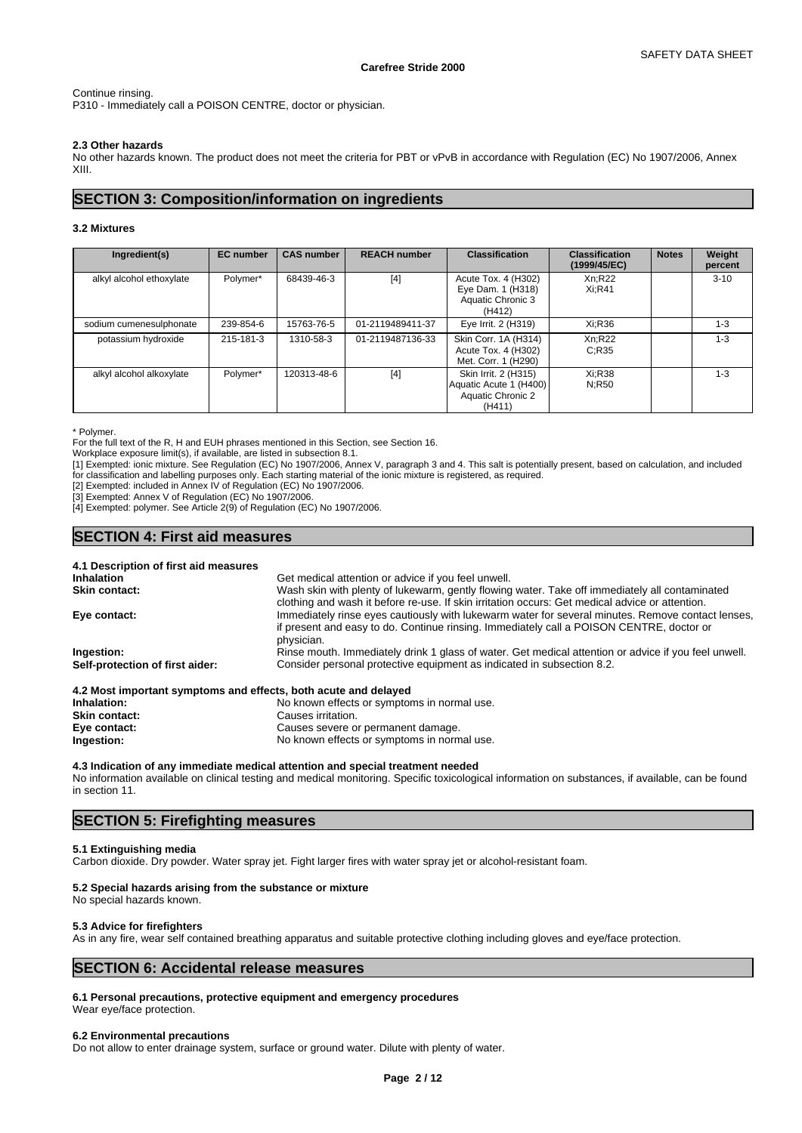## Continue rinsing. P310 - Immediately call a POISON CENTRE, doctor or physician.

## **2.3 Other hazards**

No other hazards known. The product does not meet the criteria for PBT or vPvB in accordance with Regulation (EC) No 1907/2006, Annex XIII.

## **SECTION 3: Composition/information on ingredients**

## **3.2 Mixtures**

| Ingredient(s)            | <b>EC</b> number | <b>CAS number</b> | <b>REACH number</b> | <b>Classification</b>                                                         | <b>Classification</b><br>(1999/45/EC) | <b>Notes</b> | Weight<br>percent |
|--------------------------|------------------|-------------------|---------------------|-------------------------------------------------------------------------------|---------------------------------------|--------------|-------------------|
| alkyl alcohol ethoxylate | Polymer*         | 68439-46-3        | $[4]$               | Acute Tox. 4 (H302)<br>Eye Dam. 1 (H318)<br>Aquatic Chronic 3<br>(H412)       | Xn;R22<br>Xi:R41                      |              | $3 - 10$          |
| sodium cumenesulphonate  | 239-854-6        | 15763-76-5        | 01-2119489411-37    | Eye Irrit. 2 (H319)                                                           | Xi:R36                                |              | $1 - 3$           |
| potassium hydroxide      | 215-181-3        | 1310-58-3         | 01-2119487136-33    | Skin Corr. 1A (H314)<br>Acute Tox. 4 (H302)<br>Met. Corr. 1 (H290)            | Xn;R22<br>C:R35                       |              | $1 - 3$           |
| alkyl alcohol alkoxylate | Polymer*         | 120313-48-6       | $[4]$               | Skin Irrit. 2 (H315)<br>Aquatic Acute 1 (H400)<br>Aquatic Chronic 2<br>(H411) | Xi:R38<br>N:R50                       |              | $1 - 3$           |

\* Polymer.

For the full text of the R, H and EUH phrases mentioned in this Section, see Section 16.

Workplace exposure limit(s), if available, are listed in subsection 8.1.

[1] Exempted: ionic mixture. See Regulation (EC) No 1907/2006, Annex V, paragraph 3 and 4. This salt is potentially present, based on calculation, and included for classification and labelling purposes only. Each starting material of the ionic mixture is registered, as required.

[2] Exempted: included in Annex IV of Regulation (EC) No 1907/2006.

[3] Exempted: Annex V of Regulation (EC) No 1907/2006.

[4] Exempted: polymer. See Article 2(9) of Regulation (EC) No 1907/2006.

## **SECTION 4: First aid measures**

| 4.1 Description of first aid measures                           |                                                                                                                                                                                                             |
|-----------------------------------------------------------------|-------------------------------------------------------------------------------------------------------------------------------------------------------------------------------------------------------------|
| <b>Inhalation</b>                                               | Get medical attention or advice if you feel unwell.                                                                                                                                                         |
| <b>Skin contact:</b>                                            | Wash skin with plenty of lukewarm, gently flowing water. Take off immediately all contaminated<br>clothing and wash it before re-use. If skin irritation occurs: Get medical advice or attention.           |
| Eye contact:                                                    | Immediately rinse eyes cautiously with lukewarm water for several minutes. Remove contact lenses,<br>if present and easy to do. Continue rinsing. Immediately call a POISON CENTRE, doctor or<br>physician. |
| Ingestion:                                                      | Rinse mouth. Immediately drink 1 glass of water. Get medical attention or advice if you feel unwell.                                                                                                        |
| Self-protection of first aider:                                 | Consider personal protective equipment as indicated in subsection 8.2.                                                                                                                                      |
| 4.2 Most important symptoms and effects, both acute and delayed |                                                                                                                                                                                                             |
| Inhalation:                                                     | No known effects or symptoms in normal use.                                                                                                                                                                 |
| Skin contact:                                                   | Causes irritation                                                                                                                                                                                           |

| <b>Skin contact:</b> | Causes irritation.                          |
|----------------------|---------------------------------------------|
| Eye contact:         | Causes severe or permanent damage.          |
| Ingestion:           | No known effects or symptoms in normal use. |

#### **4.3 Indication of any immediate medical attention and special treatment needed** No information available on clinical testing and medical monitoring. Specific toxicological information on substances, if available, can be found in section 11.

## **SECTION 5: Firefighting measures**

## **5.1 Extinguishing media**

Carbon dioxide. Dry powder. Water spray jet. Fight larger fires with water spray jet or alcohol-resistant foam.

## **5.2 Special hazards arising from the substance or mixture**

No special hazards known.

## **5.3 Advice for firefighters**

As in any fire, wear self contained breathing apparatus and suitable protective clothing including gloves and eye/face protection.

## **SECTION 6: Accidental release measures**

**6.1 Personal precautions, protective equipment and emergency procedures**

Wear eye/face protection.

## **6.2 Environmental precautions**

Do not allow to enter drainage system, surface or ground water. Dilute with plenty of water.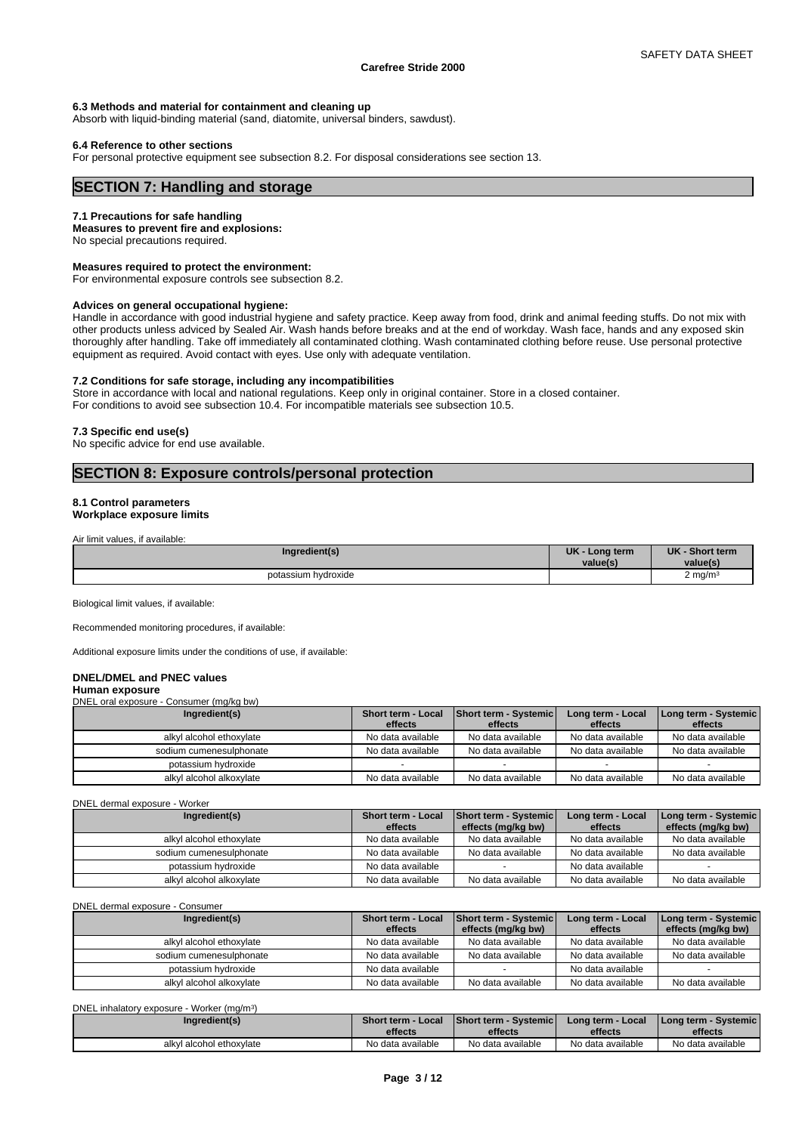## **6.3 Methods and material for containment and cleaning up**

Absorb with liquid-binding material (sand, diatomite, universal binders, sawdust).

#### **6.4 Reference to other sections**

For personal protective equipment see subsection 8.2. For disposal considerations see section 13.

## **SECTION 7: Handling and storage**

## **7.1 Precautions for safe handling**

**Measures to prevent fire and explosions:**

No special precautions required.

**Measures required to protect the environment:**

For environmental exposure controls see subsection 8.2.

#### **Advices on general occupational hygiene:**

Handle in accordance with good industrial hygiene and safety practice. Keep away from food, drink and animal feeding stuffs. Do not mix with other products unless adviced by Sealed Air. Wash hands before breaks and at the end of workday. Wash face, hands and any exposed skin thoroughly after handling. Take off immediately all contaminated clothing. Wash contaminated clothing before reuse. Use personal protective equipment as required. Avoid contact with eyes. Use only with adequate ventilation.

#### **7.2 Conditions for safe storage, including any incompatibilities**

Store in accordance with local and national regulations. Keep only in original container. Store in a closed container. For conditions to avoid see subsection 10.4. For incompatible materials see subsection 10.5.

#### **7.3 Specific end use(s)**

No specific advice for end use available.

## **SECTION 8: Exposure controls/personal protection**

## **8.1 Control parameters**

**Workplace exposure limits**

Air limit values, if available:

| Ingredient(s)       | <b>UK</b><br>Long term<br>value(s) | <b>UK</b><br>- Short term<br>value(s |
|---------------------|------------------------------------|--------------------------------------|
| potassium hydroxide |                                    | $2 \text{ ma/m}^3$                   |

Biological limit values, if available:

Recommended monitoring procedures, if available:

Additional exposure limits under the conditions of use, if available:

## **DNEL/DMEL and PNEC values**

#### **Human exposure** DNEL oral exposure - Consumer (mg/kg bw)

| Ingredient(s)            | Short term - Local<br>effects | <b>Short term - Systemic</b><br>effects | Long term - Local<br>effects | Long term - Systemic  <br>effects |
|--------------------------|-------------------------------|-----------------------------------------|------------------------------|-----------------------------------|
| alkyl alcohol ethoxylate | No data available             | No data available                       | No data available            | No data available                 |
| sodium cumenesulphonate  | No data available             | No data available                       | No data available            | No data available                 |
| potassium hydroxide      |                               |                                         |                              |                                   |
| alkyl alcohol alkoxylate | No data available             | No data available                       | No data available            | No data available                 |

DNEL dermal exposure - Worker

| Ingredient(s)            | Short term - Local | <b>Short term - Systemic</b> | Long term - Local | Long term - Systemic |
|--------------------------|--------------------|------------------------------|-------------------|----------------------|
|                          | effects            | effects (mg/kg bw)           | effects           | effects (mg/kg bw)   |
| alkyl alcohol ethoxylate | No data available  | No data available            | No data available | No data available    |
| sodium cumenesulphonate  | No data available  | No data available            | No data available | No data available    |
| potassium hydroxide      | No data available  |                              | No data available |                      |
| alkyl alcohol alkoxylate | No data available  | No data available            | No data available | No data available    |

DNEL dermal exposure - Consumer

| Ingredient(s)            | <b>Short term - Local</b> | <b>Short term - Systemic</b> | Long term - Local | Long term - Systemic |
|--------------------------|---------------------------|------------------------------|-------------------|----------------------|
|                          | effects                   | effects (mg/kg bw)           | effects           | effects (mg/kg bw)   |
| alkyl alcohol ethoxylate | No data available         | No data available            | No data available | No data available    |
| sodium cumenesulphonate  | No data available         | No data available            | No data available | No data available    |
| potassium hydroxide      | No data available         |                              | No data available |                      |
| alkyl alcohol alkoxylate | No data available         | No data available            | No data available | No data available    |

DNEL inhalatory exposure - Worker (mg/m<sup>3</sup>

| DNEL inhalatory exposure - Worker (mg/m <sup>3</sup> ) |                    |                               |                   |                          |
|--------------------------------------------------------|--------------------|-------------------------------|-------------------|--------------------------|
| Ingredient(s)                                          | Short term - Local | <b>Short term - Systemicl</b> | Long term - Local | I Long term - Systemic I |
|                                                        | effects            | effects                       | effects           | effects                  |
| alkyl alcohol ethoxylate                               | No data available  | No data available             | No data available | No data available        |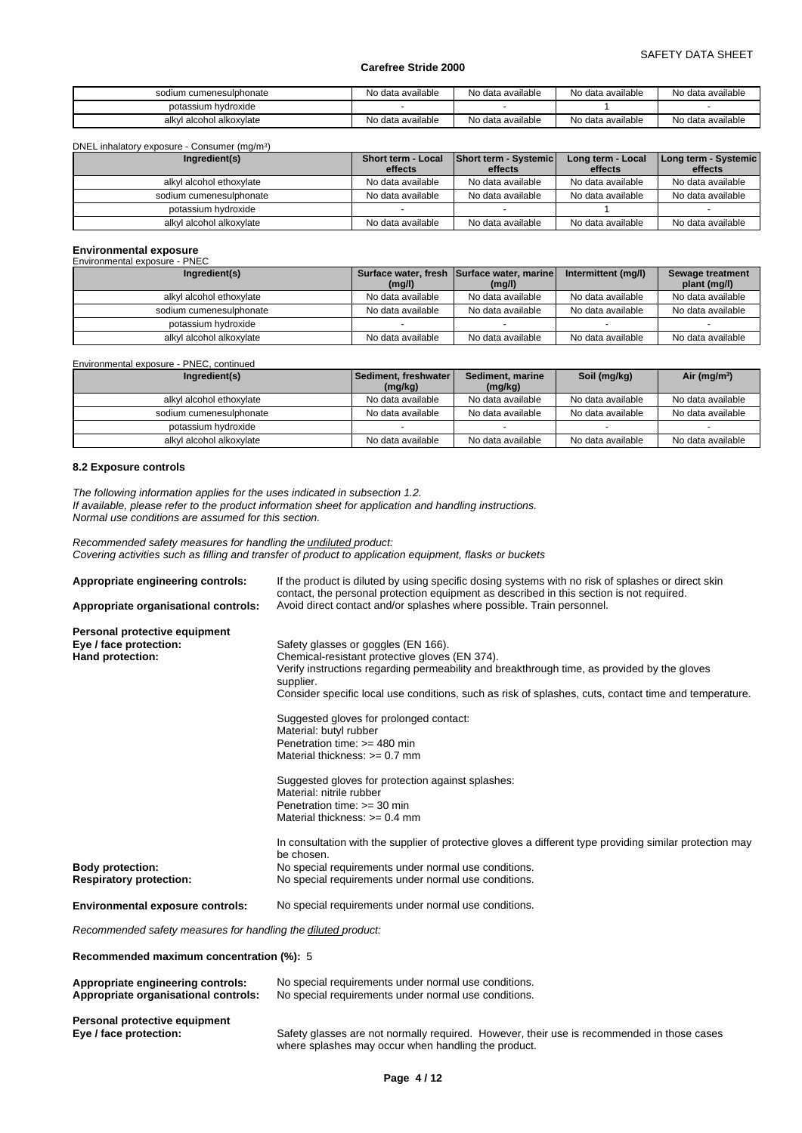| sodium cumenesulphonate      | No data available | No data available | No data available | No data available |
|------------------------------|-------------------|-------------------|-------------------|-------------------|
| potassium hydroxide          |                   |                   |                   |                   |
| I alcohol alkoxvlate<br>alkv | No data available | No data available | No data available | No data available |

DNEL inhalatory exposure - Consumer (mg/m<sup>3</sup>

| DNEL inhalatory exposure - Consumer (mg/m <sup>3</sup> ) |                               |                                  |                              |                                   |
|----------------------------------------------------------|-------------------------------|----------------------------------|------------------------------|-----------------------------------|
| Ingredient(s)                                            | Short term - Local<br>effects | Short term - Systemic<br>effects | Long term - Local<br>effects | Long term - Systemic  <br>effects |
| alkyl alcohol ethoxylate                                 | No data available             | No data available                | No data available            | No data available                 |
|                                                          |                               |                                  |                              |                                   |
| sodium cumenesulphonate                                  | No data available             | No data available                | No data available            | No data available                 |
| potassium hydroxide                                      |                               |                                  |                              |                                   |
| alkyl alcohol alkoxylate                                 | No data available             | No data available                | No data available            | No data available                 |

# **Environmental exposure** Environmental exposure - PNEC

| Ingredient(s)            | (mg/l)            | Surface water, fresh Surface water, marine<br>(mg/l) | Intermittent (mg/l) | Sewage treatment<br>plant (mg/l) |
|--------------------------|-------------------|------------------------------------------------------|---------------------|----------------------------------|
| alkyl alcohol ethoxylate | No data available | No data available                                    | No data available   | No data available                |
| sodium cumenesulphonate  | No data available | No data available                                    | No data available   | No data available                |
| potassium hydroxide      |                   |                                                      |                     |                                  |
| alkyl alcohol alkoxylate | No data available | No data available                                    | No data available   | No data available                |

Environmental exposure - PNEC, continued

| Ingredient(s)            | <b>Sediment, freshwater I</b> | Sediment, marine  | Soil (mg/kg)      | Air ( $mg/m3$ )   |
|--------------------------|-------------------------------|-------------------|-------------------|-------------------|
|                          | (mg/kg)                       | (mg/kg)           |                   |                   |
| alkyl alcohol ethoxylate | No data available             | No data available | No data available | No data available |
| sodium cumenesulphonate  | No data available             | No data available | No data available | No data available |
| potassium hydroxide      |                               |                   |                   |                   |
| alkyl alcohol alkoxylate | No data available             | No data available | No data available | No data available |

## **8.2 Exposure controls**

*The following information applies for the uses indicated in subsection 1.2. If available, please refer to the product information sheet for application and handling instructions. Normal use conditions are assumed for this section.*

*Recommended safety measures for handling the undiluted product: Covering activities such as filling and transfer of product to application equipment, flasks or buckets*

| Appropriate engineering controls:                             | If the product is diluted by using specific dosing systems with no risk of splashes or direct skin<br>contact, the personal protection equipment as described in this section is not required. |
|---------------------------------------------------------------|------------------------------------------------------------------------------------------------------------------------------------------------------------------------------------------------|
| Appropriate organisational controls:                          | Avoid direct contact and/or splashes where possible. Train personnel.                                                                                                                          |
| Personal protective equipment                                 |                                                                                                                                                                                                |
| Eye / face protection:                                        | Safety glasses or goggles (EN 166).                                                                                                                                                            |
| <b>Hand protection:</b>                                       | Chemical-resistant protective gloves (EN 374).                                                                                                                                                 |
|                                                               | Verify instructions regarding permeability and breakthrough time, as provided by the gloves                                                                                                    |
|                                                               | supplier.                                                                                                                                                                                      |
|                                                               | Consider specific local use conditions, such as risk of splashes, cuts, contact time and temperature.                                                                                          |
|                                                               | Suggested gloves for prolonged contact:                                                                                                                                                        |
|                                                               | Material: butyl rubber                                                                                                                                                                         |
|                                                               | Penetration time: >= 480 min                                                                                                                                                                   |
|                                                               | Material thickness: $>= 0.7$ mm                                                                                                                                                                |
|                                                               | Suggested gloves for protection against splashes:                                                                                                                                              |
|                                                               | Material: nitrile rubber                                                                                                                                                                       |
|                                                               | Penetration time: $>=$ 30 min                                                                                                                                                                  |
|                                                               | Material thickness: $>= 0.4$ mm                                                                                                                                                                |
|                                                               | In consultation with the supplier of protective gloves a different type providing similar protection may                                                                                       |
|                                                               | be chosen.                                                                                                                                                                                     |
| <b>Body protection:</b>                                       | No special requirements under normal use conditions.                                                                                                                                           |
| <b>Respiratory protection:</b>                                | No special requirements under normal use conditions.                                                                                                                                           |
| <b>Environmental exposure controls:</b>                       | No special requirements under normal use conditions.                                                                                                                                           |
| Recommended safety measures for handling the diluted product: |                                                                                                                                                                                                |
| Recommended maximum concentration (%): 5                      |                                                                                                                                                                                                |
| Appropriate engineering controls:                             | No special requirements under normal use conditions.                                                                                                                                           |
| Appropriate organisational controls:                          | No special requirements under normal use conditions.                                                                                                                                           |
| Personal protective equipment                                 |                                                                                                                                                                                                |
| · Fye / face protection                                       | Safety glasses are not normally required. However, their use is recommended in those cases                                                                                                     |

**Eye / face protection:** Safety glasses are not normally required. However, their use is recommended in those cases where splashes may occur when handling the product.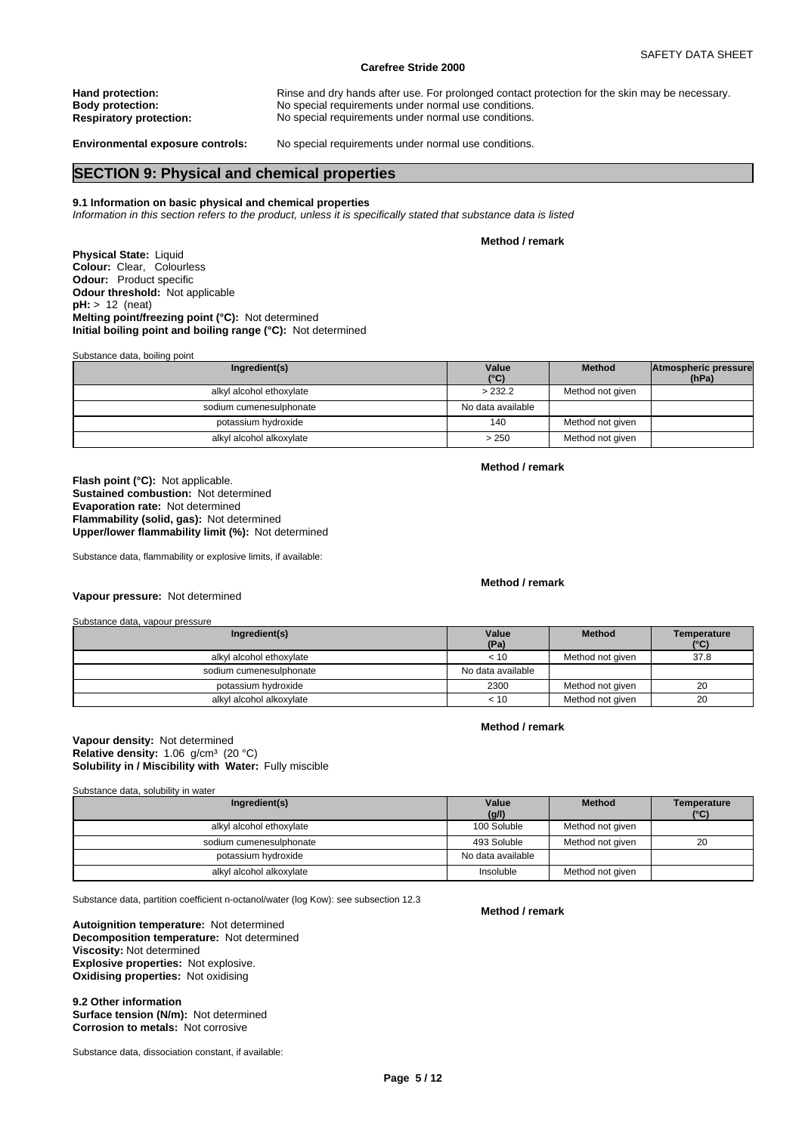**Hand protection: Rinse and dry hands after use. For prolonged contact protection for the skin may be necessary.<br>
<b>Body protection: Ringe and Strute And Strute and Strute and Strute 2016** and the skin may be necessary. **Body protection:** No special requirements under normal use conditions. **Respiratory protection:** No special requirements under normal use conditions. **Environmental exposure controls:** No special requirements under normal use conditions.

## **SECTION 9: Physical and chemical properties**

## **9.1 Information on basic physical and chemical properties**

*Information in this section refers to the product, unless it is specifically stated that substance data is listed*

**Method / remark**

**Physical State:** Liquid **Colour:** Clear, Colourless **Odour:** Product specific **Odour threshold:** Not applicable **pH:** > 12 (neat) **Melting point/freezing point (°C):** Not determined **Initial boiling point and boiling range (°C):** Not determined

Substance data, boiling point

| Ingredient(s)            | Value<br>$(^{\circ}C)$ | <b>Method</b>    | Atmospheric pressure<br>(hPa) |  |
|--------------------------|------------------------|------------------|-------------------------------|--|
| alkyl alcohol ethoxylate | > 232.2                | Method not given |                               |  |
| sodium cumenesulphonate  | No data available      |                  |                               |  |
| potassium hydroxide      | 140                    | Method not given |                               |  |
| alkyl alcohol alkoxylate | > 250                  | Method not given |                               |  |

**Flash point (°C):** Not applicable. **Sustained combustion:** Not determined **Evaporation rate:** Not determined **Flammability (solid, gas):** Not determined **Upper/lower flammability limit (%):** Not determined

Substance data, flammability or explosive limits, if available:

**Method / remark**

**Method / remark**

## **Vapour pressure:** Not determined

Substance data, vapour pressure

| Ingredient(s)            | Value<br>(Pa)     | <b>Method</b>    | Temperature<br>(°C) |
|--------------------------|-------------------|------------------|---------------------|
| alkyl alcohol ethoxylate | < 10              | Method not given | 37.8                |
| sodium cumenesulphonate  | No data available |                  |                     |
| potassium hydroxide      | 2300              | Method not given | 20                  |
| alkyl alcohol alkoxylate | < 10              | Method not given | 20                  |

## **Method / remark**

## **Solubility in / Miscibility with Water:** Fully miscible **Vapour density:** Not determined **Relative density:** 1.06 g/cm<sup>3</sup> (20 °C)

Substance data, solubility in water

| Ingredient(s)            | Value<br>(g/l)    | <b>Method</b>    | Temperature<br>$(^{\circ}C)$ |
|--------------------------|-------------------|------------------|------------------------------|
| alkyl alcohol ethoxylate | 100 Soluble       | Method not given |                              |
| sodium cumenesulphonate  | 493 Soluble       | Method not given | 20                           |
| potassium hydroxide      | No data available |                  |                              |
| alkyl alcohol alkoxylate | Insoluble         | Method not given |                              |

Substance data, partition coefficient n-octanol/water (log Kow): see subsection 12.3

**Decomposition temperature:** Not determined **Autoignition temperature:** Not determined **Viscosity:** Not determined **Explosive properties:** Not explosive. **Oxidising properties:** Not oxidising

**9.2 Other information Surface tension (N/m):** Not determined **Corrosion to metals:** Not corrosive

Substance data, dissociation constant, if available:

#### **Method / remark**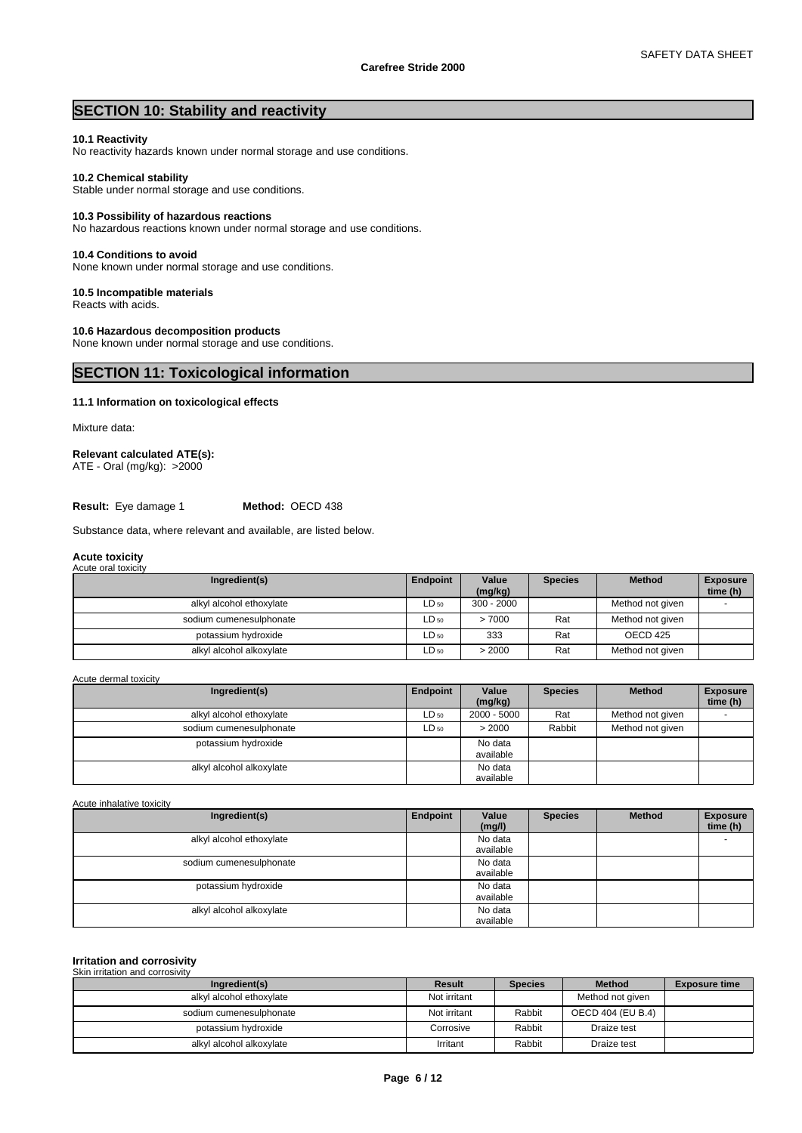## **SECTION 10: Stability and reactivity**

## **10.1 Reactivity**

No reactivity hazards known under normal storage and use conditions.

## **10.2 Chemical stability**

Stable under normal storage and use conditions.

## **10.3 Possibility of hazardous reactions**

No hazardous reactions known under normal storage and use conditions.

### **10.4 Conditions to avoid**

None known under normal storage and use conditions.

## **10.5 Incompatible materials**

Reacts with acids.

## **10.6 Hazardous decomposition products**

None known under normal storage and use conditions.

## **SECTION 11: Toxicological information**

## **11.1 Information on toxicological effects**

Mixture data:

## **Relevant calculated ATE(s):**

ATE - Oral (mg/kg): >2000

**Result:** Eye damage 1 **Method:** OECD 438

Substance data, where relevant and available, are listed below.

#### **Acute toxicity** Acute oral toxicity

| Ingredient(s)            | Endpoint  | Value<br>(mg/kg) | <b>Species</b> | <b>Method</b>    | <b>Exposure</b><br>time (h) |
|--------------------------|-----------|------------------|----------------|------------------|-----------------------------|
| alkyl alcohol ethoxylate | $LD_{50}$ | $300 - 2000$     |                | Method not given |                             |
| sodium cumenesulphonate  | $LD_{50}$ | >7000            | Rat            | Method not given |                             |
| potassium hydroxide      | $LD_{50}$ | 333              | Rat            | OECD 425         |                             |
| alkyl alcohol alkoxylate | $LD_{50}$ | > 2000           | Rat            | Method not given |                             |

Acute dermal toxicity

| Ingredient(s)            | Endpoint  | Value<br>(mg/kg)     | <b>Species</b> | <b>Method</b>    | <b>Exposure</b><br>time (h) |
|--------------------------|-----------|----------------------|----------------|------------------|-----------------------------|
| alkyl alcohol ethoxylate | $LD_{50}$ | 2000 - 5000          | Rat            | Method not given |                             |
| sodium cumenesulphonate  | $LD_{50}$ | > 2000               | Rabbit         | Method not given |                             |
| potassium hydroxide      |           | No data<br>available |                |                  |                             |
| alkyl alcohol alkoxylate |           | No data<br>available |                |                  |                             |

Acute inhalative toxicity

| Ingredient(s)            | Endpoint | Value<br>(mg/l)      | <b>Species</b> | <b>Method</b> | <b>Exposure</b><br>time (h) |
|--------------------------|----------|----------------------|----------------|---------------|-----------------------------|
| alkyl alcohol ethoxylate |          | No data<br>available |                |               |                             |
| sodium cumenesulphonate  |          | No data<br>available |                |               |                             |
| potassium hydroxide      |          | No data<br>available |                |               |                             |
| alkyl alcohol alkoxylate |          | No data<br>available |                |               |                             |

#### **Irritation and corrosivity** Skin irritation and corrosivity

| Ingredient(s)            | Result       | <b>Species</b> | <b>Method</b>     | <b>Exposure time</b> |
|--------------------------|--------------|----------------|-------------------|----------------------|
| alkyl alcohol ethoxylate | Not irritant |                | Method not given  |                      |
| sodium cumenesulphonate  | Not irritant | Rabbit         | OECD 404 (EU B.4) |                      |
| potassium hydroxide      | Corrosive    | Rabbit         | Draize test       |                      |
| alkyl alcohol alkoxylate | Irritant     | Rabbit         | Draize test       |                      |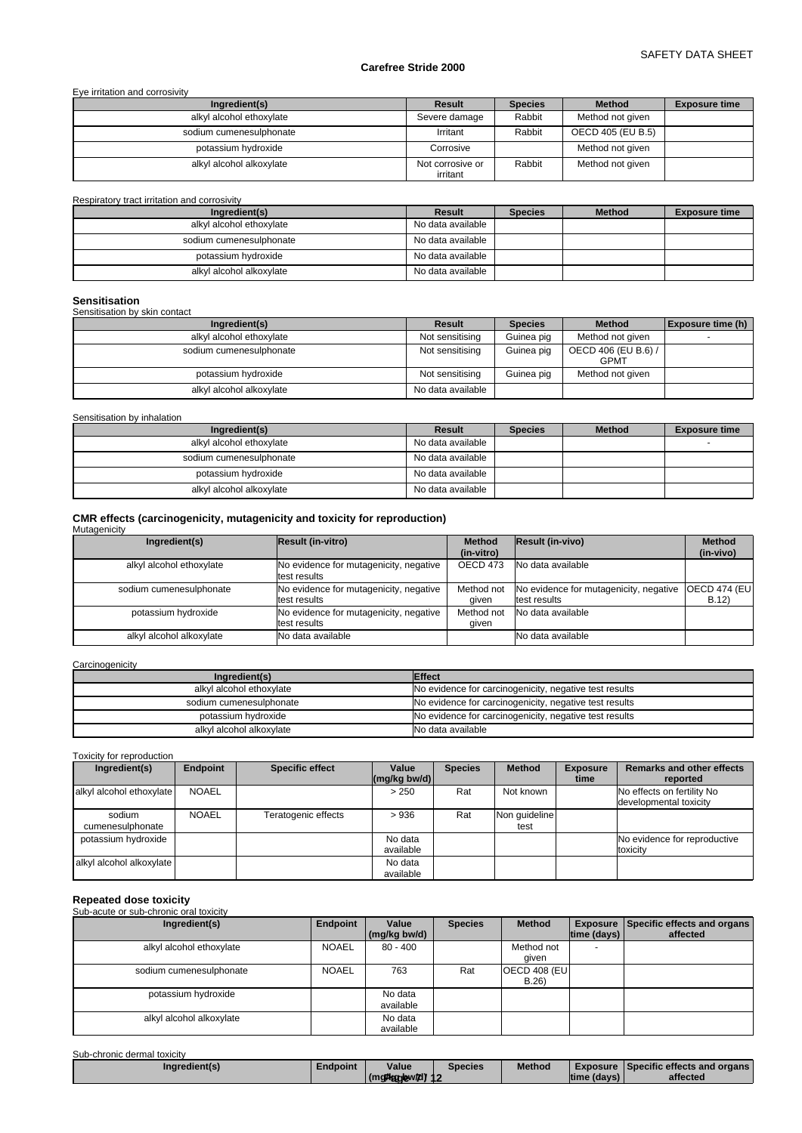## SAFETY DATA SHEET

## **Carefree Stride 2000**

## Eye irritation and corrosivity

| Ingredient(s)            | Result                       | <b>Species</b> | <b>Method</b>     | <b>Exposure time</b> |
|--------------------------|------------------------------|----------------|-------------------|----------------------|
| alkyl alcohol ethoxylate | Severe damage                | Rabbit         | Method not given  |                      |
| sodium cumenesulphonate  | Irritant                     | Rabbit         | OECD 405 (EU B.5) |                      |
| potassium hydroxide      | Corrosive                    |                | Method not given  |                      |
| alkyl alcohol alkoxylate | Not corrosive or<br>irritant | Rabbit         | Method not given  |                      |

Respiratory tract irritation and corrosivity

| Ingredient(s)            | Result            | <b>Species</b> | <b>Method</b> | <b>Exposure time</b> |
|--------------------------|-------------------|----------------|---------------|----------------------|
| alkyl alcohol ethoxylate | No data available |                |               |                      |
| sodium cumenesulphonate  | No data available |                |               |                      |
| potassium hydroxide      | No data available |                |               |                      |
| alkyl alcohol alkoxylate | No data available |                |               |                      |

## **Sensitisation**

## Sensitisation by skin contact

| Ingredient(s)            | Result            | <b>Species</b> | <b>Method</b>                      | Exposure time (h) |
|--------------------------|-------------------|----------------|------------------------------------|-------------------|
| alkyl alcohol ethoxylate | Not sensitising   | Guinea pig     | Method not given                   |                   |
| sodium cumenesulphonate  | Not sensitising   | Guinea pig     | OECD 406 (EU B.6) /<br><b>GPMT</b> |                   |
| potassium hydroxide      | Not sensitising   | Guinea pig     | Method not given                   |                   |
| alkyl alcohol alkoxylate | No data available |                |                                    |                   |

Sensitisation by inhalation

| Ingredient(s)            | Result            | <b>Species</b> | <b>Method</b> | <b>Exposure time</b> |
|--------------------------|-------------------|----------------|---------------|----------------------|
| alkyl alcohol ethoxylate | No data available |                |               |                      |
| sodium cumenesulphonate  | No data available |                |               |                      |
| potassium hydroxide      | No data available |                |               |                      |
| alkyl alcohol alkoxylate | No data available |                |               |                      |

# **CMR effects (carcinogenicity, mutagenicity and toxicity for reproduction)** Mutagenicity

| m, m, m, m               |                                                        |                             |                                                        |                              |
|--------------------------|--------------------------------------------------------|-----------------------------|--------------------------------------------------------|------------------------------|
| Ingredient(s)            | Result (in-vitro)                                      | <b>Method</b><br>(in-vitro) | <b>Result (in-vivo)</b>                                | <b>Method</b><br>(in-vivo)   |
| alkyl alcohol ethoxylate | No evidence for mutagenicity, negative<br>test results | OECD 473                    | No data available                                      |                              |
| sodium cumenesulphonate  | No evidence for mutagenicity, negative<br>test results | Method not<br>aiven         | No evidence for mutagenicity, negative<br>test results | <b>OECD 474 (EUI</b><br>B.12 |
| potassium hydroxide      | No evidence for mutagenicity, negative<br>test results | Method not<br>qiven         | No data available                                      |                              |
| alkyl alcohol alkoxylate | No data available                                      |                             | No data available                                      |                              |

## **Carcinogenicity**

| Ingredient(s)            | <b>Effect</b>                                          |
|--------------------------|--------------------------------------------------------|
| alkyl alcohol ethoxylate | No evidence for carcinogenicity, negative test results |
| sodium cumenesulphonate  | No evidence for carcinogenicity, negative test results |
| potassium hydroxide      | No evidence for carcinogenicity, negative test results |
| alkyl alcohol alkoxylate | No data available                                      |

## Toxicity for reproduction

| Ingredient(s)              | <b>Endpoint</b> | <b>Specific effect</b> | Value<br>$\left \frac{\text{mg}}{\text{kg}}\right $ bw/d) | <b>Species</b> | <b>Method</b>         | <b>Exposure</b><br>time | <b>Remarks and other effects</b><br>reported         |
|----------------------------|-----------------|------------------------|-----------------------------------------------------------|----------------|-----------------------|-------------------------|------------------------------------------------------|
| alkyl alcohol ethoxylate   | <b>NOAEL</b>    |                        | > 250                                                     | Rat            | Not known             |                         | No effects on fertility No<br>developmental toxicity |
| sodium<br>cumenesulphonate | <b>NOAEL</b>    | Teratogenic effects    | >936                                                      | Rat            | Non quideline<br>test |                         |                                                      |
| potassium hydroxide        |                 |                        | No data<br>available                                      |                |                       |                         | No evidence for reproductive<br>toxicity             |
| alkyl alcohol alkoxylate   |                 |                        | No data<br>available                                      |                |                       |                         |                                                      |

**Repeated dose toxicity** Sub-acute or sub-chronic oral toxicity

| Ingredient(s)            | Endpoint     | Value<br>(mg/kg bw/d) | <b>Species</b> | <b>Method</b>                | time (days)              | Exposure Specific effects and organs<br>affected |
|--------------------------|--------------|-----------------------|----------------|------------------------------|--------------------------|--------------------------------------------------|
| alkyl alcohol ethoxylate | <b>NOAEL</b> | $80 - 400$            |                | Method not<br>qiven          | $\overline{\phantom{0}}$ |                                                  |
| sodium cumenesulphonate  | <b>NOAEL</b> | 763                   | Rat            | <b>OECD 408 (EU)</b><br>B.26 |                          |                                                  |
| potassium hydroxide      |              | No data<br>available  |                |                              |                          |                                                  |
| alkyl alcohol alkoxylate |              | No data<br>available  |                |                              |                          |                                                  |

Sub-chronic dermal toxicity

| Ingredient(s) | ∟ndpoint | Value                             | Species | Method | Exposure     | Specific effects and organs |  |
|---------------|----------|-----------------------------------|---------|--------|--------------|-----------------------------|--|
|               |          | whow <i>h</i> d)⁄is<br>l (ma@kank |         |        | Itime (davs) | affected                    |  |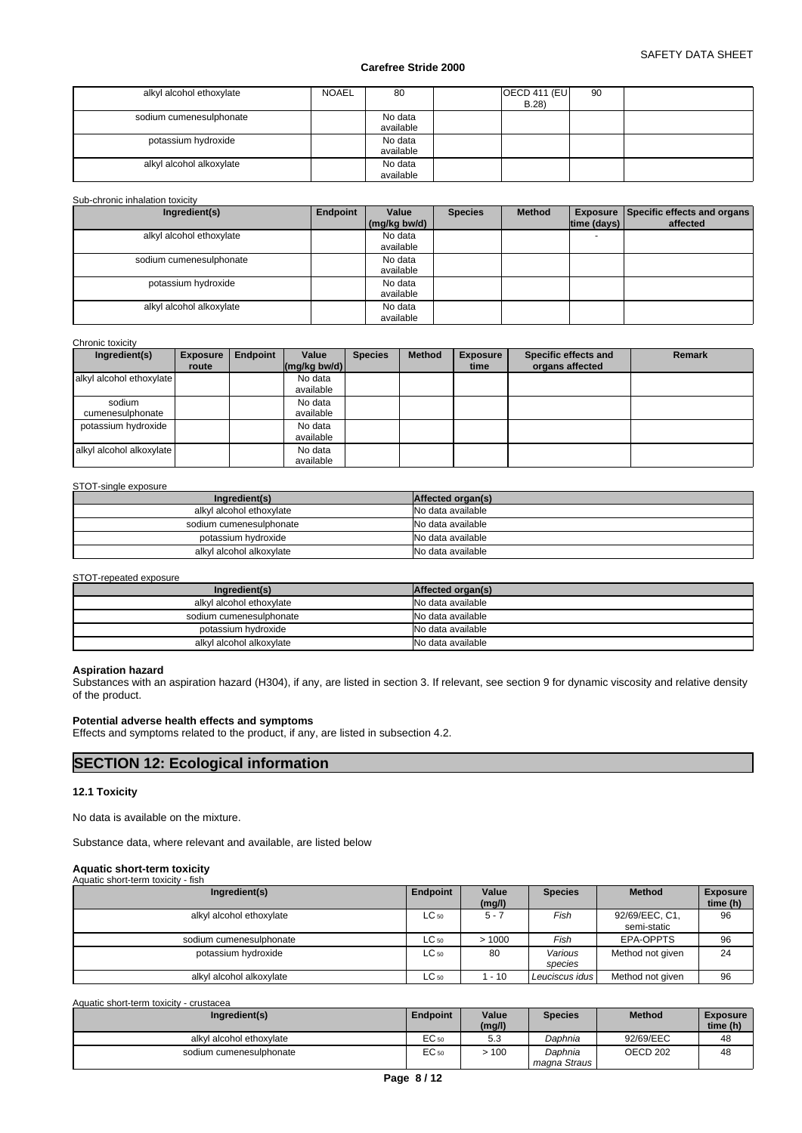| alkyl alcohol ethoxylate | <b>NOAEL</b> | 80                   | OECD 411 (EU<br>90<br>B.28 |
|--------------------------|--------------|----------------------|----------------------------|
| sodium cumenesulphonate  |              | No data<br>available |                            |
| potassium hydroxide      |              | No data<br>available |                            |
| alkyl alcohol alkoxylate |              | No data<br>available |                            |

## Sub-chronic inhalation toxicity

| Ingredient(s)            | Endpoint | Value        | <b>Species</b> | <b>Method</b> |             | <b>Exposure Specific effects and organs</b> |
|--------------------------|----------|--------------|----------------|---------------|-------------|---------------------------------------------|
|                          |          | (mg/kg bw/d) |                |               | time (days) | affected                                    |
| alkyl alcohol ethoxylate |          | No data      |                |               |             |                                             |
|                          |          | available    |                |               |             |                                             |
| sodium cumenesulphonate  |          | No data      |                |               |             |                                             |
|                          |          | available    |                |               |             |                                             |
| potassium hydroxide      |          | No data      |                |               |             |                                             |
|                          |          | available    |                |               |             |                                             |
| alkyl alcohol alkoxylate |          | No data      |                |               |             |                                             |
|                          |          | available    |                |               |             |                                             |

#### Chronic toxicity

| עזויטוויט נטאוטונ          |                 |          |                            |                |               |                 |                      |               |
|----------------------------|-----------------|----------|----------------------------|----------------|---------------|-----------------|----------------------|---------------|
| Ingredient(s)              | <b>Exposure</b> | Endpoint | Value                      | <b>Species</b> | <b>Method</b> | <b>Exposure</b> | Specific effects and | <b>Remark</b> |
|                            | route           |          | $\frac{1}{2}$ (mg/kg bw/d) |                |               | time            | organs affected      |               |
| alkyl alcohol ethoxylate   |                 |          | No data<br>available       |                |               |                 |                      |               |
| sodium<br>cumenesulphonate |                 |          | No data<br>available       |                |               |                 |                      |               |
| potassium hydroxide        |                 |          | No data<br>available       |                |               |                 |                      |               |
| alkyl alcohol alkoxylate   |                 |          | No data<br>available       |                |               |                 |                      |               |

#### STOT-single exposure

| Ingredient(s)            | Affected organ(s) |
|--------------------------|-------------------|
| alkyl alcohol ethoxylate | No data available |
| sodium cumenesulphonate  | No data available |
| potassium hydroxide      | No data available |
| alkvl alcohol alkoxvlate | No data available |

#### STOT-repeated exposure

| Ingredient(s)            | Affected organ(s) |
|--------------------------|-------------------|
| alkyl alcohol ethoxylate | No data available |
| sodium cumenesulphonate  | No data available |
| potassium hydroxide      | No data available |
| alkyl alcohol alkoxylate | No data available |

## **Aspiration hazard**

Substances with an aspiration hazard (H304), if any, are listed in section 3. If relevant, see section 9 for dynamic viscosity and relative density of the product.

## **Potential adverse health effects and symptoms**

Effects and symptoms related to the product, if any, are listed in subsection 4.2.

# **SECTION 12: Ecological information**

## **12.1 Toxicity**

No data is available on the mixture.

Substance data, where relevant and available, are listed below

#### **Aquatic short-term toxicity** Aquatic short-term toxicity - fish

| $, \, \alpha$ and $\alpha$ or the term to stort $\alpha$<br>. |           |                 |                    |                               |                             |
|---------------------------------------------------------------|-----------|-----------------|--------------------|-------------------------------|-----------------------------|
| Ingredient(s)                                                 | Endpoint  | Value<br>(mg/l) | <b>Species</b>     | <b>Method</b>                 | <b>Exposure</b><br>time (h) |
| alkyl alcohol ethoxylate                                      | $LC_{50}$ | $5 - 7$         | Fish               | 92/69/EEC, C1,<br>semi-static | 96                          |
| sodium cumenesulphonate                                       | $LC_{50}$ | >1000           | Fish               | EPA-OPPTS                     | 96                          |
| potassium hydroxide                                           | $LC_{50}$ | 80              | Various<br>species | Method not given              | 24                          |
| alkyl alcohol alkoxylate                                      | $LC_{50}$ | 1 - 10          | Leuciscus idus     | Method not given              | 96                          |

Aquatic short-term toxicity - crustacea

| Ingredient(s)            | <b>Endpoint</b>  | Value<br>(mg/l) | <b>Species</b>          | <b>Method</b>       | <b>Exposure</b><br>time (h) |
|--------------------------|------------------|-----------------|-------------------------|---------------------|-----------------------------|
| alkvl alcohol ethoxvlate | EC <sub>50</sub> | $ \sim$<br>ن.ر  | Daphnia                 | 92/69/EEC           | 48                          |
| sodium cumenesulphonate  | EC 50            | 100             | Daphnia<br>magna Straus | OECD <sub>202</sub> | 48                          |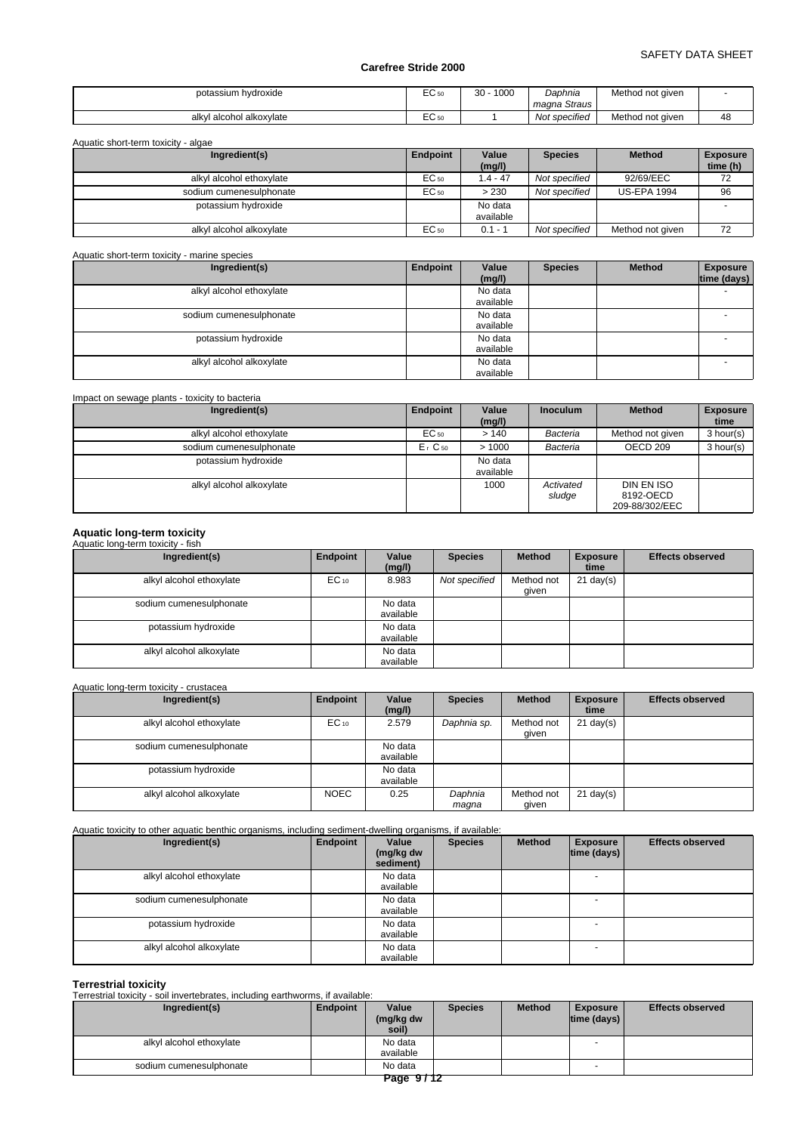| potassium hydroxide      | ່ີ<br>EÜ 50 | 30<br>1000 | Daphnia<br>magna Straus    | Method not aiven |    |
|--------------------------|-------------|------------|----------------------------|------------------|----|
| alkyl alcohol alkoxylate | EÜ 50       |            | $\cdot$ .<br>Not specified | Method not aiven | 48 |

| Ingredient(s)            | Endpoint | Value      | <b>Species</b> | <b>Method</b>      | <b>Exposure</b> |
|--------------------------|----------|------------|----------------|--------------------|-----------------|
|                          |          | (mg/l)     |                |                    | time (h)        |
| alkyl alcohol ethoxylate | EC 50    | $1.4 - 47$ | Not specified  | 92/69/EEC          | 72              |
| sodium cumenesulphonate  | EC 50    | > 230      | Not specified  | <b>US-EPA 1994</b> | 96              |
| potassium hydroxide      |          | No data    |                |                    |                 |
|                          |          | available  |                |                    |                 |
| alkyl alcohol alkoxylate | EC 50    | $0.1 - 1$  | Not specified  | Method not given   | 72              |

Aquatic short-term toxicity - marine species

| Ingredient(s)            | Endpoint | Value<br>(mg/l)      | <b>Species</b> | <b>Method</b> | <b>Exposure</b><br>time (days) |
|--------------------------|----------|----------------------|----------------|---------------|--------------------------------|
| alkyl alcohol ethoxylate |          | No data<br>available |                |               | -                              |
| sodium cumenesulphonate  |          | No data<br>available |                |               |                                |
| potassium hydroxide      |          | No data<br>available |                |               | -                              |
| alkyl alcohol alkoxylate |          | No data<br>available |                |               |                                |

| Impact on sewage plants - toxicity to bacteria |                      |                      |                     |                                           |                         |
|------------------------------------------------|----------------------|----------------------|---------------------|-------------------------------------------|-------------------------|
| Ingredient(s)                                  | Endpoint             | Value<br>(mg/l)      | <b>Inoculum</b>     | <b>Method</b>                             | <b>Exposure</b><br>time |
| alkyl alcohol ethoxylate                       | $EC_{50}$            | >140                 | Bacteria            | Method not given                          | 3 hour(s)               |
| sodium cumenesulphonate                        | $Er$ C <sub>50</sub> | >1000                | Bacteria            | OECD <sub>209</sub>                       | 3 hour(s)               |
| potassium hydroxide                            |                      | No data<br>available |                     |                                           |                         |
| alkyl alcohol alkoxylate                       |                      | 1000                 | Activated<br>sludge | DIN EN ISO<br>8192-OECD<br>209-88/302/EEC |                         |

# **Aquatic long-term toxicity** Aquatic long-term toxicity - fish

| Ingredient(s)            | Endpoint  | Value<br>(mg/l)      | <b>Species</b> | <b>Method</b>       | <b>Exposure</b><br>time | <b>Effects observed</b> |
|--------------------------|-----------|----------------------|----------------|---------------------|-------------------------|-------------------------|
| alkyl alcohol ethoxylate | $EC_{10}$ | 8.983                | Not specified  | Method not<br>qiven | $21$ day(s)             |                         |
| sodium cumenesulphonate  |           | No data<br>available |                |                     |                         |                         |
| potassium hydroxide      |           | No data<br>available |                |                     |                         |                         |
| alkyl alcohol alkoxylate |           | No data<br>available |                |                     |                         |                         |

## Aquatic long-term toxicity - crustacea

| Ingredient(s)            | Endpoint    | Value<br>(mg/l)      | <b>Species</b>   | <b>Method</b>       | <b>Exposure</b><br>time | <b>Effects observed</b> |
|--------------------------|-------------|----------------------|------------------|---------------------|-------------------------|-------------------------|
| alkyl alcohol ethoxylate | $EC_{10}$   | 2.579                | Daphnia sp.      | Method not<br>qiven | $21$ day(s)             |                         |
| sodium cumenesulphonate  |             | No data<br>available |                  |                     |                         |                         |
| potassium hydroxide      |             | No data<br>available |                  |                     |                         |                         |
| alkyl alcohol alkoxylate | <b>NOEC</b> | 0.25                 | Daphnia<br>maqna | Method not<br>given | $21 \text{ day}(s)$     |                         |

Aquatic toxicity to other aquatic benthic organisms, including sediment-dwelling organisms, if available:

| Ingredient(s)            | Endpoint | Value<br>(mg/kg dw<br>sediment) | <b>Species</b> | <b>Method</b> | <b>Exposure</b><br> time (days) | <b>Effects observed</b> |
|--------------------------|----------|---------------------------------|----------------|---------------|---------------------------------|-------------------------|
| alkyl alcohol ethoxylate |          | No data<br>available            |                |               |                                 |                         |
| sodium cumenesulphonate  |          | No data<br>available            |                |               |                                 |                         |
| potassium hydroxide      |          | No data<br>available            |                |               |                                 |                         |
| alkyl alcohol alkoxylate |          | No data<br>available            |                |               | $\overline{\phantom{0}}$        |                         |

**Terrestrial toxicity** Terrestrial toxicity - soil invertebrates, including earthworms, if available:

| Ingredient(s)            | Endpoint | Value<br>(mg/kg dw<br>soil)                        | <b>Species</b> | <b>Method</b> | <b>Exposure</b><br>$ time$ (days) $ $ | <b>Effects observed</b> |
|--------------------------|----------|----------------------------------------------------|----------------|---------------|---------------------------------------|-------------------------|
| alkyl alcohol ethoxylate |          | No data<br>available                               |                |               | - -                                   |                         |
| sodium cumenesulphonate  |          | No data<br>$D_{0}a_{0}$ $\wedge$ $\wedge$ $\wedge$ |                |               |                                       |                         |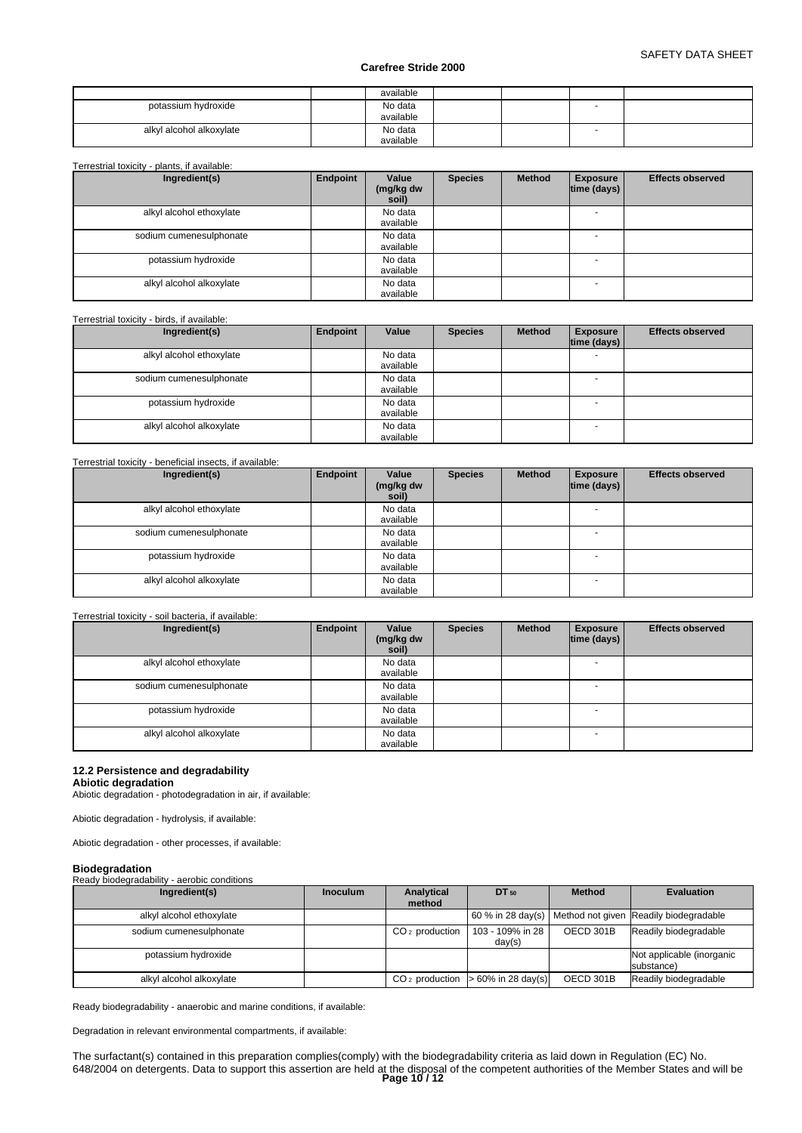|                          | available            |  |  |
|--------------------------|----------------------|--|--|
| potassium hydroxide      | No data<br>available |  |  |
| alkyl alcohol alkoxylate | No data<br>available |  |  |

#### Terrestrial toxicity - plants, if available:

| Ingredient(s)            | Endpoint | Value<br>(mg/kg dw<br>soil) | <b>Species</b> | <b>Method</b> | <b>Exposure</b><br> time (days) | <b>Effects observed</b> |
|--------------------------|----------|-----------------------------|----------------|---------------|---------------------------------|-------------------------|
| alkyl alcohol ethoxylate |          | No data<br>available        |                |               |                                 |                         |
| sodium cumenesulphonate  |          | No data<br>available        |                |               | $\overline{\phantom{a}}$        |                         |
| potassium hydroxide      |          | No data<br>available        |                |               |                                 |                         |
| alkyl alcohol alkoxylate |          | No data<br>available        |                |               |                                 |                         |

## Terrestrial toxicity - birds, if available:

| Ingredient(s)            | Endpoint | Value     | <b>Species</b> | <b>Method</b> | <b>Exposure</b> | <b>Effects observed</b> |
|--------------------------|----------|-----------|----------------|---------------|-----------------|-------------------------|
|                          |          |           |                |               | time (days)     |                         |
| alkyl alcohol ethoxylate |          | No data   |                |               |                 |                         |
|                          |          | available |                |               |                 |                         |
| sodium cumenesulphonate  |          | No data   |                |               |                 |                         |
|                          |          | available |                |               |                 |                         |
| potassium hydroxide      |          | No data   |                |               |                 |                         |
|                          |          | available |                |               |                 |                         |
| alkyl alcohol alkoxylate |          | No data   |                |               |                 |                         |
|                          |          | available |                |               |                 |                         |

## Terrestrial toxicity - beneficial insects, if available:

| Ingredient(s)            | Endpoint | Value<br>(mg/kg dw<br>soil) | <b>Species</b> | <b>Method</b> | <b>Exposure</b><br> time (days) | <b>Effects observed</b> |
|--------------------------|----------|-----------------------------|----------------|---------------|---------------------------------|-------------------------|
| alkyl alcohol ethoxylate |          | No data<br>available        |                |               |                                 |                         |
| sodium cumenesulphonate  |          | No data<br>available        |                |               |                                 |                         |
| potassium hydroxide      |          | No data<br>available        |                |               | $\sim$                          |                         |
| alkyl alcohol alkoxylate |          | No data<br>available        |                |               | $\overline{\phantom{a}}$        |                         |

## Terrestrial toxicity - soil bacteria, if available:

| Ingredient(s)            | Endpoint | Value<br>(mg/kg dw<br>soil) | <b>Species</b> | <b>Method</b> | <b>Exposure</b><br> time (days) | <b>Effects observed</b> |
|--------------------------|----------|-----------------------------|----------------|---------------|---------------------------------|-------------------------|
| alkyl alcohol ethoxylate |          | No data<br>available        |                |               | $\overline{\phantom{a}}$        |                         |
| sodium cumenesulphonate  |          | No data<br>available        |                |               | $\overline{\phantom{0}}$        |                         |
| potassium hydroxide      |          | No data<br>available        |                |               | $\overline{\phantom{0}}$        |                         |
| alkyl alcohol alkoxylate |          | No data<br>available        |                |               | $\overline{\phantom{0}}$        |                         |

## **12.2 Persistence and degradability**

## **Abiotic degradation**

Abiotic degradation - photodegradation in air, if available:

Abiotic degradation - hydrolysis, if available:

Abiotic degradation - other processes, if available:

## **Biodegradation**

Ready biodegradability - aerobic conditions

| Ingredient(s)            | <b>Inoculum</b> | Analytical<br>method | DT 50                                        | <b>Method</b> | <b>Evaluation</b>                                        |
|--------------------------|-----------------|----------------------|----------------------------------------------|---------------|----------------------------------------------------------|
| alkyl alcohol ethoxylate |                 |                      |                                              |               | 60 % in 28 day(s) Method not given Readily biodegradable |
| sodium cumenesulphonate  |                 | $CO2$ production     | 103 - 109% in 28<br>day(s)                   | OECD 301B     | Readily biodegradable                                    |
| potassium hydroxide      |                 |                      |                                              |               | Not applicable (inorganic<br>substance)                  |
| alkyl alcohol alkoxylate |                 |                      | $CO2$ production $\vert > 60\%$ in 28 day(s) | OECD 301B     | Readily biodegradable                                    |

Ready biodegradability - anaerobic and marine conditions, if available:

Degradation in relevant environmental compartments, if available:

The surfactant(s) contained in this preparation complies(comply) with the biodegradability criteria as laid down in Regulation (EC) No. 648/2004 on detergents. Data to support this assertion are held at the disposal of the competent authorities of the Member States and will be **Page 10 / 12**<br>**Page 10 / 12**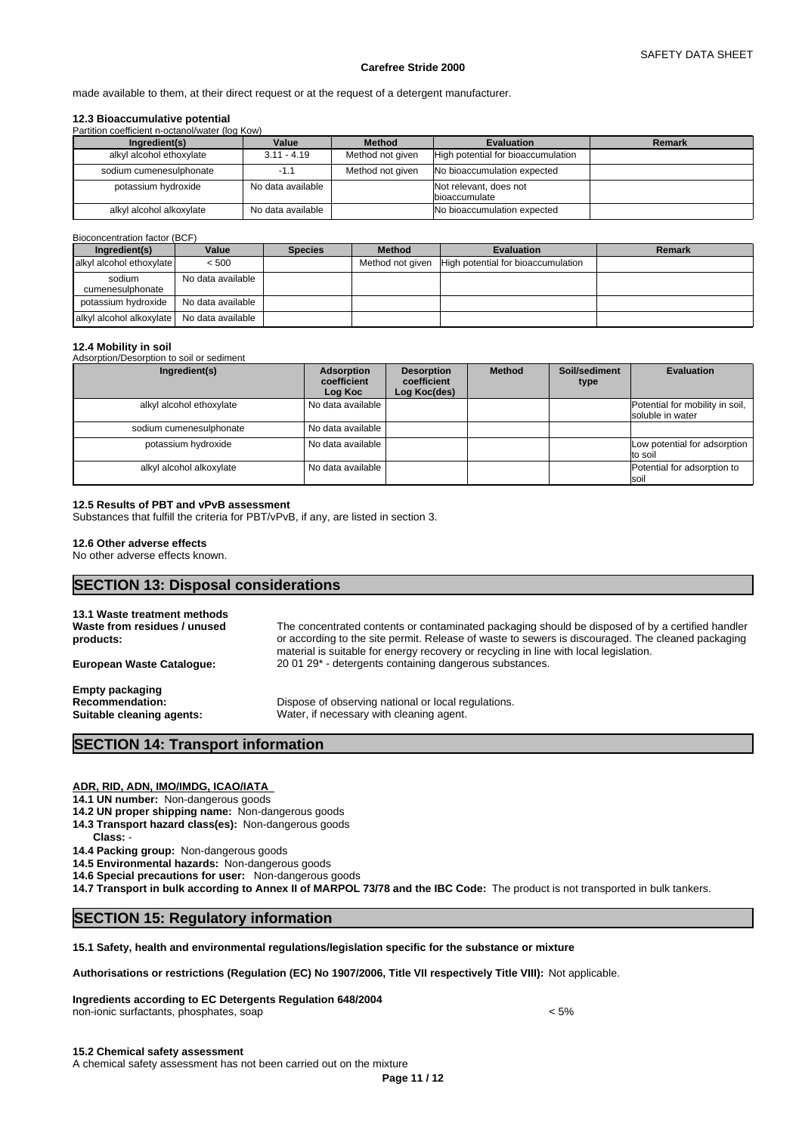made available to them, at their direct request or at the request of a detergent manufacturer.

## **12.3 Bioaccumulative potential**

| Partition coefficient n-octanol/water (log Kow) |                   |                  |                                                  |               |
|-------------------------------------------------|-------------------|------------------|--------------------------------------------------|---------------|
| Ingredient(s)                                   | Value             | <b>Method</b>    | <b>Evaluation</b>                                | <b>Remark</b> |
| alkyl alcohol ethoxylate                        | $3.11 - 4.19$     | Method not given | High potential for bioaccumulation               |               |
| sodium cumenesulphonate                         | -1.1              | Method not given | No bioaccumulation expected                      |               |
| potassium hydroxide                             | No data available |                  | Not relevant, does not<br><b>I</b> bioaccumulate |               |
| alkyl alcohol alkoxylate                        | No data available |                  | No bioaccumulation expected                      |               |

#### Bioconcentration factor (BCF)

| Ingredient(s)                                | Value             | <b>Species</b> | <b>Method</b> | <b>Evaluation</b>                                   | Remark |
|----------------------------------------------|-------------------|----------------|---------------|-----------------------------------------------------|--------|
| alkyl alcohol ethoxylate                     | < 500             |                |               | Method not given High potential for bioaccumulation |        |
| sodium<br>cumenesulphonate                   | No data available |                |               |                                                     |        |
| potassium hvdroxide                          | No data available |                |               |                                                     |        |
| alkyl alcohol alkoxylate   No data available |                   |                |               |                                                     |        |

## **12.4 Mobility in soil**

Adsorption/Desorption to soil or sediment

| Ingredient(s)            | Adsorption<br>coefficient<br>Log Koc | <b>Desorption</b><br>coefficient<br>Log Koc(des) | <b>Method</b> | Soil/sediment<br>type | <b>Evaluation</b>                                   |
|--------------------------|--------------------------------------|--------------------------------------------------|---------------|-----------------------|-----------------------------------------------------|
| alkyl alcohol ethoxylate | No data available                    |                                                  |               |                       | Potential for mobility in soil,<br>soluble in water |
| sodium cumenesulphonate  | No data available                    |                                                  |               |                       |                                                     |
| potassium hydroxide      | l No data available                  |                                                  |               |                       | Low potential for adsorption<br>to soil             |
| alkyl alcohol alkoxylate | l No data available                  |                                                  |               |                       | Potential for adsorption to<br><b>soi</b>           |

#### **12.5 Results of PBT and vPvB assessment**

Substances that fulfill the criteria for PBT/vPvB, if any, are listed in section 3.

## **12.6 Other adverse effects**

No other adverse effects known.

## **SECTION 13: Disposal considerations**

| 13.1 Waste treatment methods<br>Waste from residues / unused<br>products:     | The concentrated contents or contaminated packaging should be disposed of by a certified handler<br>or according to the site permit. Release of waste to sewers is discouraged. The cleaned packaging<br>material is suitable for energy recovery or recycling in line with local legislation. |
|-------------------------------------------------------------------------------|------------------------------------------------------------------------------------------------------------------------------------------------------------------------------------------------------------------------------------------------------------------------------------------------|
| <b>European Waste Cataloque:</b>                                              | 20 01 29 <sup>*</sup> - detergents containing dangerous substances.                                                                                                                                                                                                                            |
| <b>Empty packaging</b><br><b>Recommendation:</b><br>Suitable cleaning agents: | Dispose of observing national or local regulations.<br>Water, if necessary with cleaning agent.                                                                                                                                                                                                |

## **SECTION 14: Transport information**

## **ADR, RID, ADN, IMO/IMDG, ICAO/IATA**

**14.1 UN number:** Non-dangerous goods

- **14.2 UN proper shipping name:** Non-dangerous goods
- **14.3 Transport hazard class(es):** Non-dangerous goods
	- **Class:** -

**14.4 Packing group:** Non-dangerous goods

**14.5 Environmental hazards:** Non-dangerous goods

**14.6 Special precautions for user:** Non-dangerous goods

**14.7 Transport in bulk according to Annex II of MARPOL 73/78 and the IBC Code:** The product is not transported in bulk tankers.

## **SECTION 15: Regulatory information**

## **15.1 Safety, health and environmental regulations/legislation specific for the substance or mixture**

**Authorisations or restrictions (Regulation (EC) No 1907/2006, Title VII respectively Title VIII):** Not applicable.

**Ingredients according to EC Detergents Regulation 648/2004** non-ionic surfactants, phosphates, soap < 5%